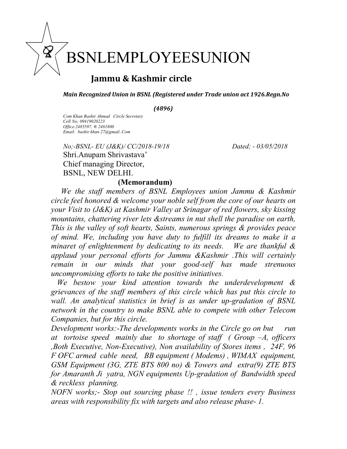## LEMPLOYEESUNION

## Jammu & Kashmir circle

Main Recognized Union in BSNL (Registered under Trade union act 1926.Regn.No

(4896)

Com Khan Bashir Ahmad Circle Secretary Cell No; 09419020223 Office.2485597, ® 2481800 Email: bashir khan 27@gmail..Com

.<br>د

No;-BSNL- EU (J&K)/ CC/2018-19/18 Dated; - 03/05/2018 Shri.Anupam Shrivastava' Chief managing Director, BSNL, NEW DELHI.

## (Memorandum)

We the staff members of BSNL Employees union Jammu & Kashmir circle feel honored & welcome your noble self from the core of our hearts on your Visit to (J&K) at Kashmir Valley at Srinagar of red flowers, sky kissing mountains, chattering river lets &streams in nut shell the paradise on earth, This is the valley of soft hearts, Saints, numerous springs & provides peace of mind. We, including you have duty to fulfill its dreams to make it a minaret of enlightenment by dedicating to its needs. We are thankful & applaud your personal efforts for Jammu &Kashmir .This will certainly remain in our minds that your good-self has made strenuous uncompromising efforts to take the positive initiatives.

We bestow your kind attention towards the underdevelopment & grievances of the staff members of this circle which has put this circle to wall. An analytical statistics in brief is as under up-gradation of BSNL network in the country to make BSNL able to compete with other Telecom Companies, but for this circle.

Development works:-The developments works in the Circle go on but run at tortoise speed mainly due to shortage of staff ( Group  $-A$ , officers ,Both Executive, Non-Executive), Non availability of Stores items , 24F, 96 F OFC armed cable need, BB equipment ( Modems) , WIMAX equipment, GSM Equipment (3G, ZTE BTS 800 no) & Towers and extra(9) ZTE BTS for Amaranth Ji yatra, NGN equipments Up-gradation of Bandwidth speed & reckless planning.

NOFN works;- Stop out sourcing phase !! , issue tenders every Business areas with responsibility fix with targets and also release phase- 1.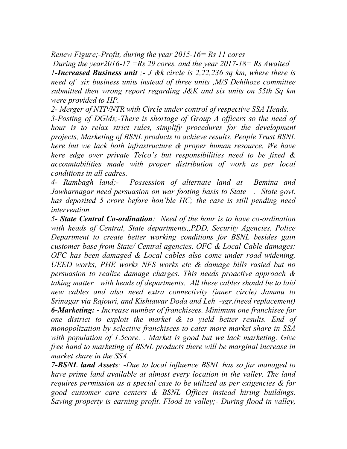Renew Figure;-Profit, during the year 2015-16= Rs 11 cores

During the year 2016-17 = Rs 29 cores, and the year 2017-18 = Rs Awaited 1-Increased Business unit  $-$  J &k circle is 2,22,236 sq km, where there is need of six business units instead of three units ,M/S Dehlhoze committee submitted then wrong report regarding J&K and six units on 55th Sq km were provided to HP.

2- Merger of NTP/NTR with Circle under control of respective SSA Heads. 3-Posting of DGMs;-There is shortage of Group A officers so the need of hour is to relax strict rules, simplify procedures for the development projects, Marketing of BSNL products to achieve results. People Trust BSNL here but we lack both infrastructure & proper human resource. We have here edge over private Telco's but responsibilities need to be fixed & accountabilities made with proper distribution of work as per local conditions in all cadres.

4- Rambagh land;- Possession of alternate land at Bemina and Jawharnagar need persuasion on war footing basis to State . State govt. has deposited 5 crore before hon'ble HC; the case is still pending need intervention.

5- State Central Co-ordination: Need of the hour is to have co-ordination with heads of Central, State departments,, PDD, Security Agencies, Police Department to create better working conditions for BSNL besides gain customer base from State/ Central agencies. OFC & Local Cable damages: OFC has been damaged & Local cables also come under road widening, UEED works, PHE works NFS works etc & damage bills rasied but no persuasion to realize damage charges. This needs proactive approach & taking matter with heads of departments. All these cables should be to laid new cables and also need extra connectivity (inner circle) Jammu to Srinagar via Rajouri, and Kishtawar Doda and Leh -sgr.(need replacement) 6-Marketing: - Increase number of franchisees. Minimum one franchisee for one district to exploit the market  $\&$  to yield better results. End of monopolization by selective franchisees to cater more market share in SSA with population of 1.5core. . Market is good but we lack marketing. Give free hand to marketing of BSNL products there will be marginal increase in market share in the SSA.

7-BSNL land Assets: -Due to local influence BSNL has so far managed to have prime land available at almost every location in the valley. The land requires permission as a special case to be utilized as per exigencies & for good customer care centers & BSNL Offices instead hiring buildings. Saving property is earning profit. Flood in valley;- During flood in valley,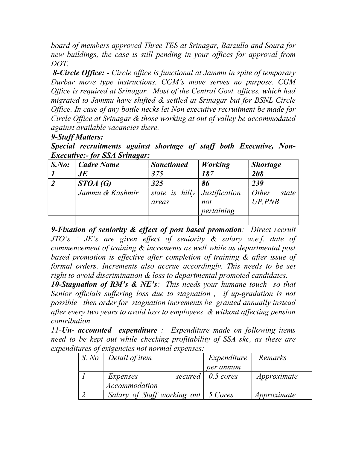board of members approved Three TES at Srinagar, Barzulla and Soura for new buildings, the case is still pending in your offices for approval from DOT.

8-Circle Office: - Circle office is functional at Jammu in spite of temporary Durbar move type instructions. CGM's move serves no purpose. CGM Office is required at Srinagar. Most of the Central Govt. offices, which had migrated to Jammu have shifted & settled at Srinagar but for BSNL Circle Office. In case of any bottle necks let Non executive recruitment be made for Circle Office at Srinagar & those working at out of valley be accommodated against available vacancies there.

## 9-Staff Matters:

Special recruitments against shortage of staff both Executive, Non-Executive:- for SSA Srinagar:

| S.No: | Cadre Name      | <b>Sanctioned</b>                       | <b>Working</b>    | <b>Shortage</b>           |
|-------|-----------------|-----------------------------------------|-------------------|---------------------------|
|       | JE              | 375                                     | 187               | 208                       |
|       | STOA(G)         | 325                                     | 86                | 239                       |
|       | Jammu & Kashmir | state is hilly $Justification$<br>areas | not<br>pertaining | Other<br>state<br>UP, PNB |
|       |                 |                                         |                   |                           |

9-Fixation of seniority & effect of post based promotion: Direct recruit JTO's ' JE's are given effect of seniority & salary w.e.f. date of commencement of training & increments as well while as departmental post based promotion is effective after completion of training & after issue of formal orders. Increments also accrue accordingly. This needs to be set right to avoid discrimination  $\&$  loss to departmental promoted candidates.

**10-Stagnation of RM's & NE's:**- This needs your humane touch so that Senior officials suffering loss due to stagnation , if up-gradation is not possible then order for stagnation increments be granted annually instead after every two years to avoid loss to employees & without affecting pension contribution.

 $11$ -Un- accounted expenditure : Expenditure made on following items need to be kept out while checking profitability of SSA skc, as these are expenditures of exigencies not normal expenses:

| S. No | Detail of item                        | Expenditure               | Remarks     |
|-------|---------------------------------------|---------------------------|-------------|
|       |                                       | per annum                 |             |
|       | Expenses                              | secured $\vert$ 0.5 cores | Approximate |
|       | Accommodation                         |                           |             |
|       | Salary of Staff working out   5 Cores |                           | Approximate |